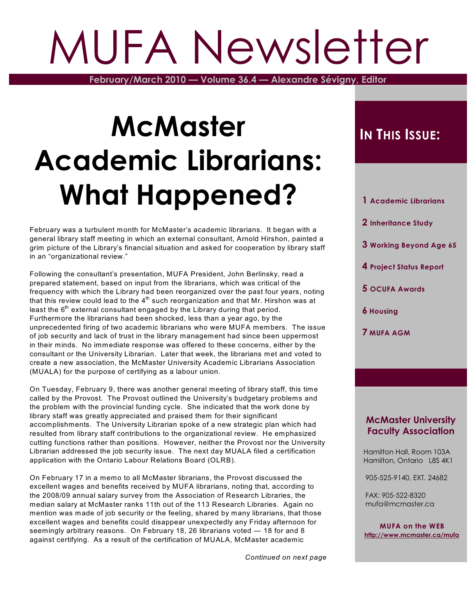# MUFA Newsletter

**February/March 2010 — Volume 36.4 — Alexandre Sévigny, Editor**

## **McMaster Academic Librarians: What Happened?**

February was a turbulent month for McMaster's academic librarians. It began with a general library staff meeting in which an external consultant, Arnold Hirshon, painted a grim picture of the Library's financial situation and asked for cooperation by library staff in an "organizational review."

Following the consultant's presentation, MUFA President, John Berlinsky, read a prepared statement, based on input from the librarians, which was critical of the frequency with which the Library had been reorganized over the past four years, noting that this review could lead to the 4 $^{\rm th}$  such reorganization and that Mr. Hirshon was at least the  $6^{\text{th}}$  external consultant engaged by the Library during that period. Furthermore the librarians had been shocked, less than a year ago, by the unprecedented firing of two academic librarians who were MUFA members. The issue of job security and lack of trust in the library management had since been uppermost in their minds. No immediate response was offered to these concerns, either by the consultant or the University Librarian. Later that week, the librarians met and voted to create a new association, the McMaster University Academic Librarians Association (MUALA) for the purpose of certifying as a labour union.

On Tuesday, February 9, there was another general meeting of library staff, this time called by the Provost. The Provost outlined the University's budgetary problems and the problem with the provincial funding cycle. She indicated that the work done by library staff was greatly appreciated and praised them for their significant accomplishments. The University Librarian spoke of a new strategic plan which had resulted from library staff contributions to the organizational review. He emphasized cutting functions rather than positions. However, neither the Provost nor the University Librarian addressed the job security issue. The next day MUALA filed a certification application with the Ontario Labour Relations Board (OLRB).

On February 17 in a memo to all McMaster librarians, the Provost discussed the excellent wages and benefits received by MUFA librarians, noting that, according to the 2008/09 annual salary survey from the Association of Research Libraries, the median salary at McMaster ranks 11th out of the 113 Research Libraries. Again no mention was made of job security or the feeling, shared by many librarians, that those excellent wages and benefits could disappear unexpectedly any Friday afternoon for seemingly arbitrary reasons. On February 18, 26 librarians voted — 18 for and 8 against certifying. As a result of the certification of MUALA, McMaster academic

*Continued on next page*

### **IN THIS ISSUE:**

- **1 Academic Librarians**
- **2 Inheritance Study**
- **3 Working Beyond Age 65**
- **4 Project Status Report**
- **5 OCUFA Awards**
- **6 Housing**
- **7 MUFA AGM**

#### **McMaster University Faculty Association**

 Hamilton Hall, Room 103A Hamilton, Ontario L8S 4K1

905-525-9140, EXT. 24682

 FAX: 905-522-8320 mufa@mcmaster.ca

**MUFA on the WEB <http://www.mcmaster.ca/mufa>**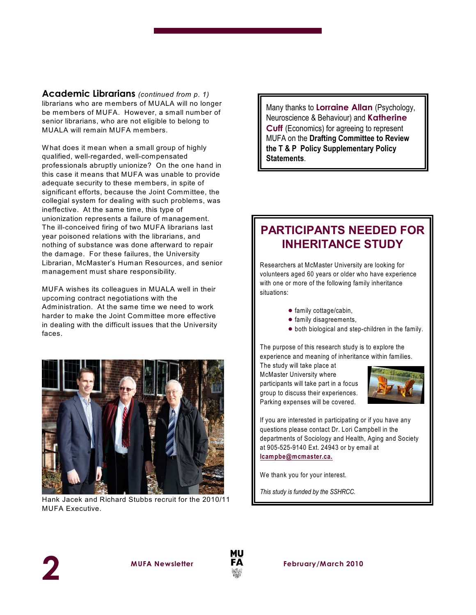**Academic Librarians** *(continued from p. 1)* librarians who are members of MUALA will no longer be members of MUFA. However, a small number of senior librarians, who are not eligible to belong to MUALA will remain MUFA members.

What does it mean when a small group of highly qualified, well-regarded, well-compensated professionals abruptly unionize? On the one hand in this case it means that MUFA was unable to provide adequate security to these members, in spite of significant efforts, because the Joint Committee, the collegial system for dealing with such problems, was ineffective. At the same time, this type of unionization represents a failure of management. The ill-conceived firing of two MUFA librarians last year poisoned relations with the librarians, and nothing of substance was done afterward to repair the damage. For these failures, the University Librarian, McMaster's Human Resources, and senior management must share responsibility.

MUFA wishes its colleagues in MUALA well in their upcoming contract negotiations with the Administration. At the same time we need to work harder to make the Joint Committee more effective in dealing with the difficult issues that the University faces.



Hank Jacek and Richard Stubbs recruit for the 2010/11 MUFA Executive.

Many thanks to **Lorraine Allan** (Psychology, Neuroscience & Behaviour) and **Katherine Cuff** (Economics) for agreeing to represent MUFA on the **Drafting Committee to Review the T & P Policy Supplementary Policy Statements**.

#### **PARTICIPANTS NEEDED FOR INHERITANCE STUDY**

Researchers at McMaster University are looking for volunteers aged 60 years or older who have experience with one or more of the following family inheritance situations:

- $\bullet$  family cottage/cabin,
- $\bullet$  family disagreements,
- $\bullet$  both biological and step-children in the family.

The purpose of this research study is to explore the experience and meaning of inheritance within families.

The study will take place at McMaster University where participants will take part in a focus group to discuss their experiences. Parking expenses will be covered.



If you are interested in participating or if you have any questions please contact Dr. Lori Campbell in the departments of Sociology and Health, Aging and Society at 905-525-9140 Ext. 24943 or by email at **[lcampbe@mcmaster.ca.](mailto:lcampbe@mcmaster.ca.)**

We thank you for your interest.

*This study is funded by the SSHRCC.*



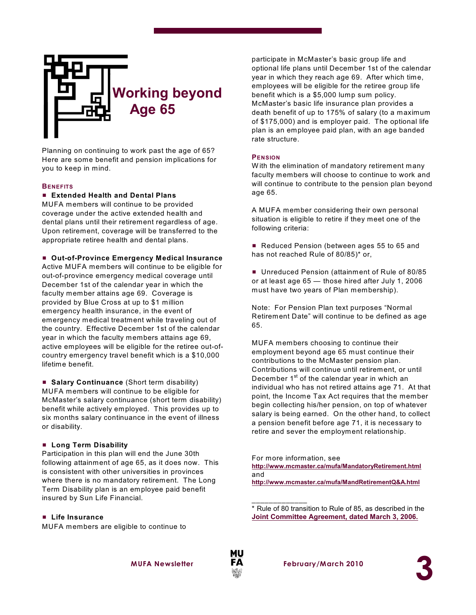

Planning on continuing to work past the age of 65? Here are some benefit and pension implications for you to keep in mind.

#### **BENEFITS**

#### ■ **Extended Health and Dental Plans**

MUFA members will continue to be provided coverage under the active extended health and dental plans until their retirement regardless of age. Upon retirement, coverage will be transferred to the appropriate retiree health and dental plans.

#### ■ Out-of-Province Emergency Medical Insurance

Active MUFA members will continue to be eligible for out-of-province emergency medical coverage until December 1st of the calendar year in which the faculty member attains age 69. Coverage is provided by Blue Cross at up to \$1 million emergency health insurance, in the event of emergency medical treatment while traveling out of the country. Effective December 1st of the calendar year in which the faculty members attains age 69, active employees will be eligible for the retiree out-ofcountry emergency travel benefit which is a \$10,000 lifetime benefit.

■ **Salary Continuance** (Short term disability) MUFA members will continue to be eligible for McMaster's salary continuance (short term disability) benefit while actively employed. This provides up to six months salary continuance in the event of illness or disability.

#### # **Long Term Disability**

Participation in this plan will end the June 30th following attainment of age 65, as it does now. This is consistent with other universities in provinces where there is no mandatory retirement. The Long Term Disability plan is an employee paid benefit insured by Sun Life Financial.

#### # **Life Insurance**

MUFA members are eligible to continue to

participate in McMaster's basic group life and optional life plans until December 1st of the calendar year in which they reach age 69. After which time, employees will be eligible for the retiree group life benefit which is a \$5,000 lump sum policy. McMaster's basic life insurance plan provides a death benefit of up to 175% of salary (to a maximum of \$175,000) and is employer paid. The optional life plan is an employee paid plan, with an age banded rate structure.

#### **PENSION**

W ith the elimination of mandatory retirement many faculty members will choose to continue to work and will continue to contribute to the pension plan beyond age 65.

A MUFA member considering their own personal situation is eligible to retire if they meet one of the following criteria:

Reduced Pension (between ages 55 to 65 and has not reached Rule of 80/85)\* or,

■ Unreduced Pension (attainment of Rule of 80/85 or at least age 65 — those hired after July 1, 2006 must have two years of Plan membership).

Note: For Pension Plan text purposes "Normal Retirement Date" will continue to be defined as age 65.

MUFA members choosing to continue their employment beyond age 65 must continue their contributions to the McMaster pension plan. Contributions will continue until retirement, or until December 1<sup>st</sup> of the calendar year in which an individual who has not retired attains age 71. At that point, the Income Tax Act requires that the member begin collecting his/her pension, on top of whatever salary is being earned. On the other hand, to collect a pension benefit before age 71, it is necessary to retire and sever the employment relationship.

For more information, see **<http://www.mcmaster.ca/mufa/MandatoryRetirement.html>** and **<http://www.mcmaster.ca/mufa/MandRetirementQ&A.html>**

\* Rule of 80 transition to Rule of 85, as described in the **[Joint Committee Agreement, dated March 3, 2006.](http://www.mcmaster.ca/mufa/jcagreement2006-march3.html)**



\_\_\_\_\_\_\_\_\_\_\_\_\_

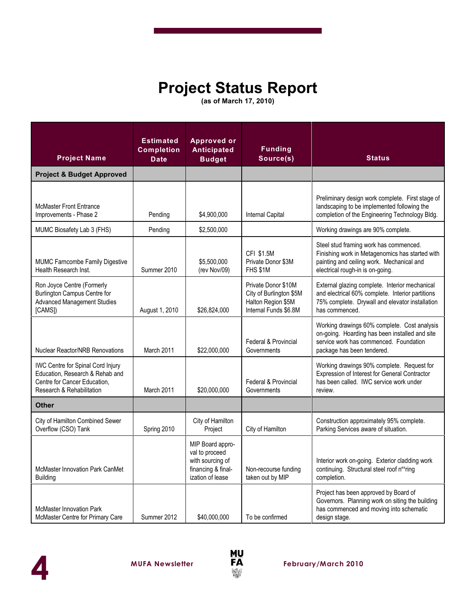## **Project Status Report**

**(as of March 17, 2010)**

| <b>Project Name</b>                                                                                                                      | <b>Estimated</b><br>Completion<br><b>Date</b> | <b>Approved or</b><br><b>Anticipated</b><br><b>Budget</b>                                        | <b>Funding</b><br>Source(s)                                                                   | <b>Status</b>                                                                                                                                                              |
|------------------------------------------------------------------------------------------------------------------------------------------|-----------------------------------------------|--------------------------------------------------------------------------------------------------|-----------------------------------------------------------------------------------------------|----------------------------------------------------------------------------------------------------------------------------------------------------------------------------|
| <b>Project &amp; Budget Approved</b>                                                                                                     |                                               |                                                                                                  |                                                                                               |                                                                                                                                                                            |
| <b>McMaster Front Entrance</b><br>Improvements - Phase 2                                                                                 | Pending                                       | \$4,900,000                                                                                      | Internal Capital                                                                              | Preliminary design work complete. First stage of<br>landscaping to be implemented following the<br>completion of the Engineering Technology Bldg.                          |
| MUMC Biosafety Lab 3 (FHS)                                                                                                               | Pending                                       | \$2,500,000                                                                                      |                                                                                               | Working drawings are 90% complete.                                                                                                                                         |
| MUMC Farncombe Family Digestive<br>Health Research Inst.                                                                                 | Summer 2010                                   | \$5,500,000<br>(rev Nov/09)                                                                      | CFI \$1.5M<br>Private Donor \$3M<br>FHS \$1M                                                  | Steel stud framing work has commenced.<br>Finishing work in Metagenomics has started with<br>painting and ceiling work. Mechanical and<br>electrical rough-in is on-going. |
| Ron Joyce Centre (Formerly<br><b>Burlington Campus Centre for</b><br><b>Advanced Management Studies</b><br>[CAMS])                       | August 1, 2010                                | \$26,824,000                                                                                     | Private Donor \$10M<br>City of Burlington \$5M<br>Halton Region \$5M<br>Internal Funds \$6.8M | External glazing complete. Interior mechanical<br>and electrical 60% complete. Interior partitions<br>75% complete. Drywall and elevator installation<br>has commenced.    |
| <b>Nuclear Reactor/NRB Renovations</b>                                                                                                   | March 2011                                    | \$22,000,000                                                                                     | Federal & Provincial<br>Governments                                                           | Working drawings 60% complete. Cost analysis<br>on-going. Hoarding has been installed and site<br>service work has commenced. Foundation<br>package has been tendered.     |
| <b>IWC Centre for Spinal Cord Injury</b><br>Education, Research & Rehab and<br>Centre for Cancer Education.<br>Research & Rehabilitation | March 2011                                    | \$20,000,000                                                                                     | <b>Federal &amp; Provincial</b><br>Governments                                                | Working drawings 90% complete. Request for<br>Expression of Interest for General Contractor<br>has been called. IWC service work under<br>review.                          |
| <b>Other</b>                                                                                                                             |                                               |                                                                                                  |                                                                                               |                                                                                                                                                                            |
| City of Hamilton Combined Sewer<br>Overflow (CSO) Tank                                                                                   | Spring 2010                                   | City of Hamilton<br>Project                                                                      | City of Hamilton                                                                              | Construction approximately 95% complete.<br>Parking Services aware of situation.                                                                                           |
| McMaster Innovation Park CanMet<br><b>Building</b>                                                                                       |                                               | MIP Board appro-<br>val to proceed<br>with sourcing of<br>financing & final-<br>ization of lease | Non-recourse funding<br>taken out by MIP                                                      | Interior work on-going. Exterior cladding work<br>continuing. Structural steel roof nearing<br>completion.                                                                 |
| <b>McMaster Innovation Park</b><br>McMaster Centre for Primary Care                                                                      | Summer 2012                                   | \$40.000.000                                                                                     | To be confirmed                                                                               | Project has been approved by Board of<br>Governors. Planning work on siting the building<br>has commenced and moving into schematic<br>design stage.                       |



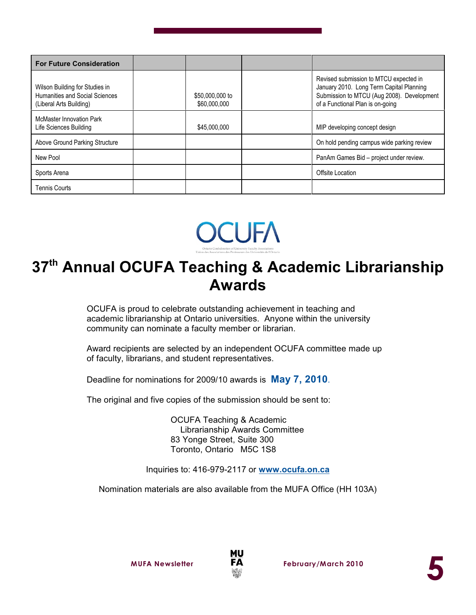| <b>For Future Consideration</b>                                                             |                                 |                                                                                                                                                                      |
|---------------------------------------------------------------------------------------------|---------------------------------|----------------------------------------------------------------------------------------------------------------------------------------------------------------------|
| Wilson Building for Studies in<br>Humanities and Social Sciences<br>(Liberal Arts Building) | \$50,000,000 to<br>\$60,000,000 | Revised submission to MTCU expected in<br>January 2010. Long Term Capital Planning<br>Submission to MTCU (Aug 2008). Development<br>of a Functional Plan is on-going |
| <b>McMaster Innovation Park</b><br>Life Sciences Building                                   | \$45,000,000                    | MIP developing concept design                                                                                                                                        |
| Above Ground Parking Structure                                                              |                                 | On hold pending campus wide parking review                                                                                                                           |
| New Pool                                                                                    |                                 | PanAm Games Bid - project under review.                                                                                                                              |
| Sports Arena                                                                                |                                 | Offsite Location                                                                                                                                                     |
| <b>Tennis Courts</b>                                                                        |                                 |                                                                                                                                                                      |



## 37<sup>th</sup> Annual OCUFA Teaching & Academic Librarianship **Awards**

OCUFA is proud to celebrate outstanding achievement in teaching and academic librarianship at Ontario universities. Anyone within the university community can nominate a faculty member or librarian.

Award recipients are selected by an independent OCUFA committee made up of faculty, librarians, and student representatives.

Deadline for nominations for 2009/10 awards is **May 7, 2010**.

The original and five copies of the submission should be sent to:

OCUFA Teaching & Academic Librarianship Awards Committee 83 Yonge Street, Suite 300 Toronto, Ontario M5C 1S8

Inquiries to: 416-979-2117 or **[www.ocufa.on.ca](http://www.ocufa.on.ca)**

Nomination materials are also available from the MUFA Office (HH 103A)

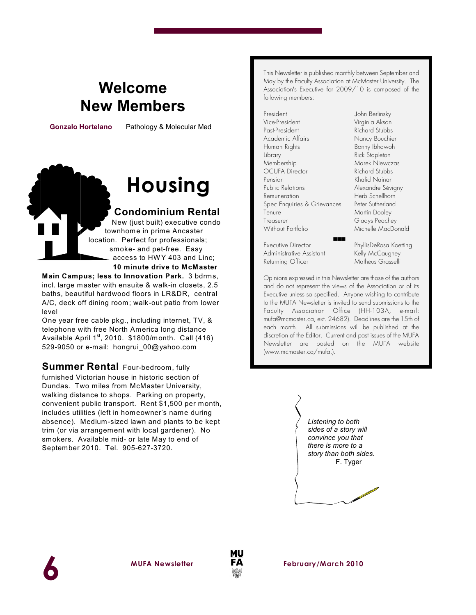## **Welcome New Members**

 **Gonzalo Hortelano** Pathology & Molecular Med

## **Housing**

#### **Condominium Rental**

New (just built) executive condo townhome in prime Ancaster location. Perfect for professionals; smoke- and pet-free. Easy access to HW Y 403 and Linc; **10 minute drive to McMaster**

**Main Campus; less to Innovation Park.** 3 bdrms,

incl. large master with ensuite & walk-in closets, 2.5 baths, beautiful hardwood floors in LR&DR, central A/C, deck off dining room; walk-out patio from lower level

One year free cable pkg., including internet, TV, & telephone with free North America long distance Available April 1 $^{\rm st}$ , 2010.  $$1800/m$ onth. Call (416) 529-9050 or e-mail: hongrui\_00@yahoo.com

**Summer Rental** Four-bedroom, fully furnished Victorian house in historic section of Dundas. Two miles from McMaster University, walking distance to shops. Parking on property, convenient public transport. Rent \$1,500 per month, includes utilities (left in homeowner's name during absence). Medium-sized lawn and plants to be kept trim (or via arrangement with local gardener). No smokers. Available mid- or late May to end of September 2010. Tel. 905-627-3720.

This Newsletter is published monthly between September and May by the Faculty Association at McMaster University. The Association's Executive for 2009/10 is composed of the following members:

President **John Berlinsky** Vice-President Virginia Aksan Past-President Richard Stubbs Academic Affairs Nancy Bouchier Human Rights Bonny Ibhawoh Library **Rick Stapleton** Membership Marek Niewczas OCUFA Director Pension Khalid Nainar Remuneration Herb Schellhorn Spec Enquiries & Grievances Peter Sutherland Tenure Martin Dooley Treasurer Gladys Peachey Without Portfolio Michelle MacDonald

Executive Director PhyllisDeRosa Koetting Administrative Assistant Kelly McCaughey Returning Officer Matheus Grasselli

Alexandre Sévigny

Opinions expressed in this Newsletter are those of the authors and do not represent the views of the Association or of its Executive unless so specified. Anyone wishing to contribute to the MUFA *Newsletter* is invited to send submissions to the Faculty Association Office (HH-103A, e-mail: mufa@mcmaster.ca, ext. 24682). Deadlines are the 15th of each month. All submissions will be published at the discretion of the Editor. Current and past issues of the MUFA *Newsletter* are posted on the MUFA website (www.mcmaster.ca/mufa.).

(((









**MUFA** Newsletter **FA** February/March 2010